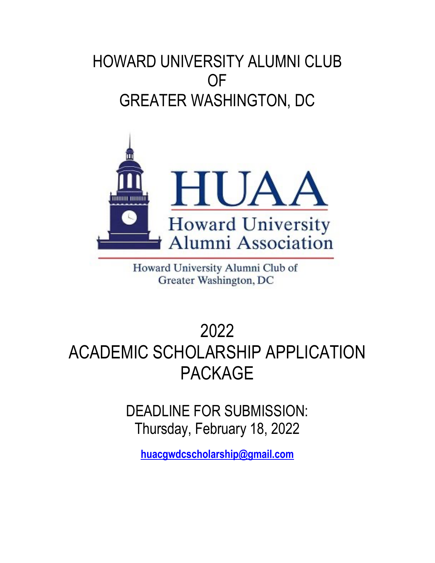# HOWARD UNIVERSITY ALUMNI CLUB **OF** GREATER WASHINGTON, DC



Howard University Alumni Club of Greater Washington, DC

# 2022 ACADEMIC SCHOLARSHIP APPLICATION PACKAGE

DEADLINE FOR SUBMISSION: Thursday, February 18, 2022

**huacgwdcscholarship@gmail.com**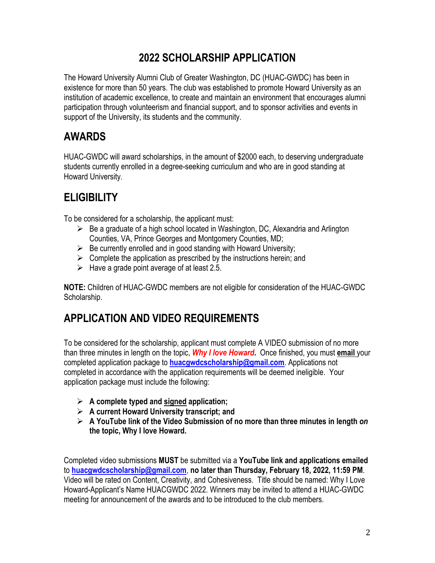#### **2022 SCHOLARSHIP APPLICATION**

The Howard University Alumni Club of Greater Washington, DC (HUAC-GWDC) has been in existence for more than 50 years. The club was established to promote Howard University as an institution of academic excellence, to create and maintain an environment that encourages alumni participation through volunteerism and financial support, and to sponsor activities and events in support of the University, its students and the community.

# **AWARDS**

HUAC-GWDC will award scholarships, in the amount of \$2000 each, to deserving undergraduate students currently enrolled in a degree-seeking curriculum and who are in good standing at Howard University.

## **ELIGIBILITY**

To be considered for a scholarship, the applicant must:

- $\triangleright$  Be a graduate of a high school located in Washington, DC, Alexandria and Arlington Counties, VA, Prince Georges and Montgomery Counties, MD;
- $\triangleright$  Be currently enrolled and in good standing with Howard University;
- $\triangleright$  Complete the application as prescribed by the instructions herein; and
- $\triangleright$  Have a grade point average of at least 2.5.

**NOTE:** Children of HUAC-GWDC members are not eligible for consideration of the HUAC-GWDC Scholarship.

### **APPLICATION AND VIDEO REQUIREMENTS**

To be considered for the scholarship, applicant must complete A VIDEO submission of no more than three minutes in length on the topic, *Why I love Howard***.** Once finished, you must **email** your completed application package to **huacgwdcscholarship@gmail.com**. Applications not completed in accordance with the application requirements will be deemed ineligible. Your application package must include the following:

- Ø **A complete typed and signed application;**
- Ø **A current Howard University transcript; and**
- Ø **A YouTube link of the Video Submission of no more than three minutes in length** *on* **the topic, Why I love Howard.**

Completed video submissions **MUST** be submitted via a **YouTube link and applications emailed** to **huacgwdcscholarship@gmail.com**, **no later than Thursday, February 18, 2022, 11:59 PM**. Video will be rated on Content, Creativity, and Cohesiveness. Title should be named: Why I Love Howard-Applicant's Name HUACGWDC 2022. Winners may be invited to attend a HUAC-GWDC meeting for announcement of the awards and to be introduced to the club members.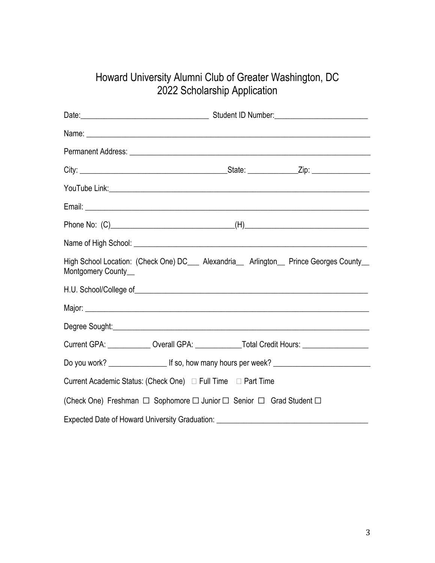#### Howard University Alumni Club of Greater Washington, DC 2022 Scholarship Application

| Montgomery County_ | High School Location: (Check One) DC___ Alexandria__ Arlington__ Prince Georges County__            |  |  |
|--------------------|-----------------------------------------------------------------------------------------------------|--|--|
|                    |                                                                                                     |  |  |
|                    |                                                                                                     |  |  |
|                    |                                                                                                     |  |  |
|                    | Current GPA: _____________Overall GPA: ______________Total Credit Hours: __________________________ |  |  |
|                    |                                                                                                     |  |  |
|                    | Current Academic Status: (Check One) □ Full Time □ Part Time                                        |  |  |
|                    | (Check One) Freshman □ Sophomore □ Junior □ Senior □ Grad Student □                                 |  |  |
|                    | Expected Date of Howard University Graduation: _________________________________                    |  |  |